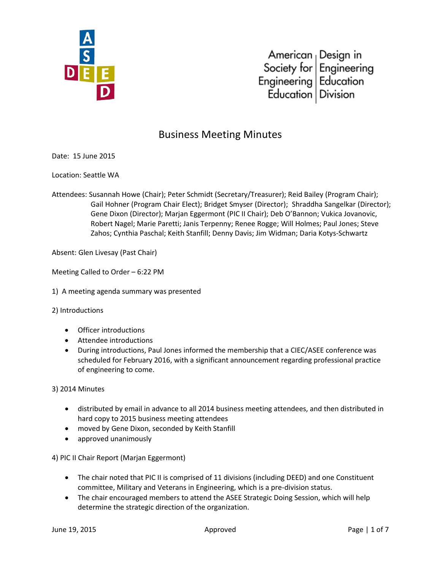

# Business Meeting Minutes

Date: 15 June 2015

Location: Seattle WA

Attendees: Susannah Howe (Chair); Peter Schmidt (Secretary/Treasurer); Reid Bailey (Program Chair); Gail Hohner (Program Chair Elect); Bridget Smyser (Director); Shraddha Sangelkar (Director); Gene Dixon (Director); Marjan Eggermont (PIC II Chair); Deb O'Bannon; Vukica Jovanovic, Robert Nagel; Marie Paretti; Janis Terpenny; Renee Rogge; Will Holmes; Paul Jones; Steve Zahos; Cynthia Paschal; Keith Stanfill; Denny Davis; Jim Widman; Daria Kotys-Schwartz

Absent: Glen Livesay (Past Chair)

Meeting Called to Order – 6:22 PM

1) A meeting agenda summary was presented

2) Introductions

- Officer introductions
- Attendee introductions
- During introductions, Paul Jones informed the membership that a CIEC/ASEE conference was scheduled for February 2016, with a significant announcement regarding professional practice of engineering to come.

3) 2014 Minutes

- distributed by email in advance to all 2014 business meeting attendees, and then distributed in hard copy to 2015 business meeting attendees
- moved by Gene Dixon, seconded by Keith Stanfill
- approved unanimously

4) PIC II Chair Report (Marjan Eggermont)

- The chair noted that PIC II is comprised of 11 divisions (including DEED) and one Constituent committee, Military and Veterans in Engineering, which is a pre-division status.
- The chair encouraged members to attend the ASEE Strategic Doing Session, which will help determine the strategic direction of the organization.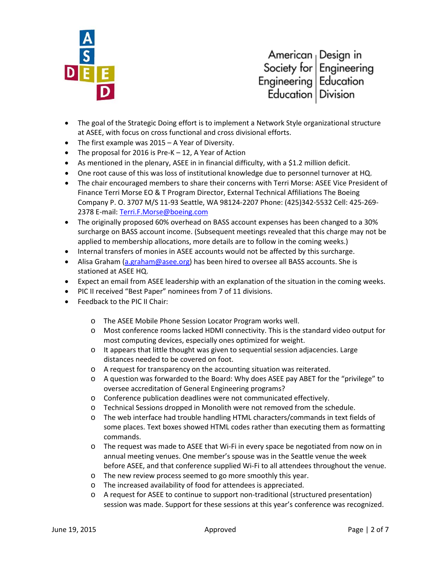

- The goal of the Strategic Doing effort is to implement a Network Style organizational structure at ASEE, with focus on cross functional and cross divisional efforts.
- The first example was 2015 A Year of Diversity.
- The proposal for 2016 is Pre-K 12, A Year of Action
- As mentioned in the plenary, ASEE in in financial difficulty, with a \$1.2 million deficit.
- One root cause of this was loss of institutional knowledge due to personnel turnover at HQ.
- The chair encouraged members to share their concerns with Terri Morse: ASEE Vice President of Finance Terri Morse EO & T Program Director, External Technical Affiliations The Boeing Company P. O. 3707 M/S 11-93 Seattle, WA 98124-2207 Phone: (425)342-5532 Cell: 425-269- 2378 E-mail: [Terri.F.Morse@boeing.com](mailto:Terri.F.Morse@boeing.com)
- The originally proposed 60% overhead on BASS account expenses has been changed to a 30% surcharge on BASS account income. (Subsequent meetings revealed that this charge may not be applied to membership allocations, more details are to follow in the coming weeks.)
- Internal transfers of monies in ASEE accounts would not be affected by this surcharge.
- Alisa Graham [\(a.graham@asee.org\)](mailto:a.graham@asee.org) has been hired to oversee all BASS accounts. She is stationed at ASEE HQ.
- Expect an email from ASEE leadership with an explanation of the situation in the coming weeks.
- PIC II received "Best Paper" nominees from 7 of 11 divisions.
- Feedback to the PIC II Chair:
	- o The ASEE Mobile Phone Session Locator Program works well.
	- o Most conference rooms lacked HDMI connectivity. This is the standard video output for most computing devices, especially ones optimized for weight.
	- o It appears that little thought was given to sequential session adjacencies. Large distances needed to be covered on foot.
	- o A request for transparency on the accounting situation was reiterated.
	- o A question was forwarded to the Board: Why does ASEE pay ABET for the "privilege" to oversee accreditation of General Engineering programs?
	- o Conference publication deadlines were not communicated effectively.
	- o Technical Sessions dropped in Monolith were not removed from the schedule.
	- o The web interface had trouble handling HTML characters/commands in text fields of some places. Text boxes showed HTML codes rather than executing them as formatting commands.
	- o The request was made to ASEE that Wi-Fi in every space be negotiated from now on in annual meeting venues. One member's spouse was in the Seattle venue the week before ASEE, and that conference supplied Wi-Fi to all attendees throughout the venue.
	- o The new review process seemed to go more smoothly this year.
	- o The increased availability of food for attendees is appreciated.
	- o A request for ASEE to continue to support non-traditional (structured presentation) session was made. Support for these sessions at this year's conference was recognized.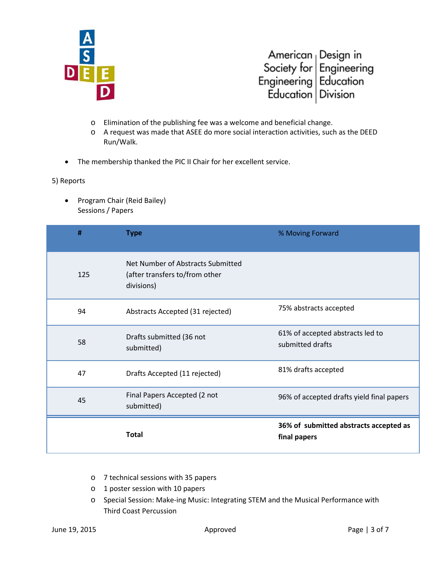

- o Elimination of the publishing fee was a welcome and beneficial change.
- o A request was made that ASEE do more social interaction activities, such as the DEED Run/Walk.
- The membership thanked the PIC II Chair for her excellent service.

### 5) Reports

• Program Chair (Reid Bailey) Sessions / Papers

| #   | <b>Type</b>                                                                       | % Moving Forward                                       |
|-----|-----------------------------------------------------------------------------------|--------------------------------------------------------|
| 125 | Net Number of Abstracts Submitted<br>(after transfers to/from other<br>divisions) |                                                        |
| 94  | Abstracts Accepted (31 rejected)                                                  | 75% abstracts accepted                                 |
| 58  | Drafts submitted (36 not<br>submitted)                                            | 61% of accepted abstracts led to<br>submitted drafts   |
| 47  | Drafts Accepted (11 rejected)                                                     | 81% drafts accepted                                    |
| 45  | Final Papers Accepted (2 not<br>submitted)                                        | 96% of accepted drafts yield final papers              |
|     | <b>Total</b>                                                                      | 36% of submitted abstracts accepted as<br>final papers |

- o 7 technical sessions with 35 papers
- o 1 poster session with 10 papers
- o Special Session: Make-ing Music: Integrating STEM and the Musical Performance with Third Coast Percussion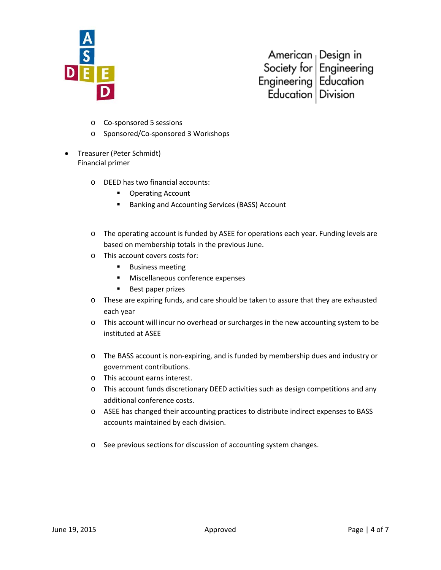

- o Co-sponsored 5 sessions
- o Sponsored/Co-sponsored 3 Workshops
- Treasurer (Peter Schmidt) Financial primer
	- o DEED has two financial accounts:
		- **Operating Account**
		- **Banking and Accounting Services (BASS) Account**
	- o The operating account is funded by ASEE for operations each year. Funding levels are based on membership totals in the previous June.
	- o This account covers costs for:
		- **Business meeting**
		- **Miscellaneous conference expenses**
		- **Best paper prizes**
	- o These are expiring funds, and care should be taken to assure that they are exhausted each year
	- o This account will incur no overhead or surcharges in the new accounting system to be instituted at ASEE
	- o The BASS account is non-expiring, and is funded by membership dues and industry or government contributions.
	- o This account earns interest.
	- o This account funds discretionary DEED activities such as design competitions and any additional conference costs.
	- o ASEE has changed their accounting practices to distribute indirect expenses to BASS accounts maintained by each division.
	- o See previous sections for discussion of accounting system changes.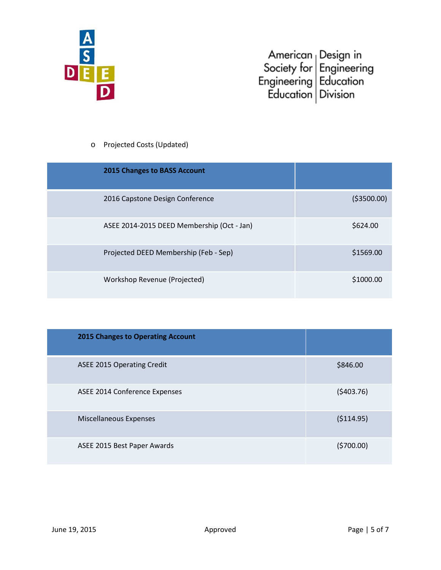

## o Projected Costs (Updated)

| <b>2015 Changes to BASS Account</b>        |              |
|--------------------------------------------|--------------|
| 2016 Capstone Design Conference            | ( \$3500.00) |
| ASEE 2014-2015 DEED Membership (Oct - Jan) | \$624.00     |
| Projected DEED Membership (Feb - Sep)      | \$1569.00    |
| Workshop Revenue (Projected)               | \$1000.00    |

| <b>2015 Changes to Operating Account</b> |             |
|------------------------------------------|-------------|
| <b>ASEE 2015 Operating Credit</b>        | \$846.00    |
| ASEE 2014 Conference Expenses            | (5403.76)   |
| <b>Miscellaneous Expenses</b>            | ( \$114.95) |
| ASEE 2015 Best Paper Awards              | (5700.00)   |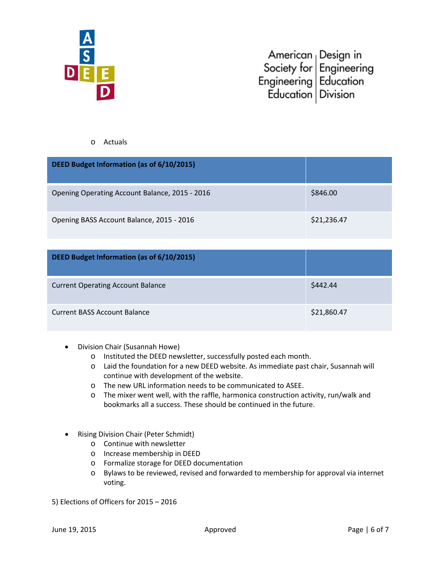

### o Actuals

| DEED Budget Information (as of 6/10/2015)      |             |
|------------------------------------------------|-------------|
| Opening Operating Account Balance, 2015 - 2016 | \$846.00    |
| Opening BASS Account Balance, 2015 - 2016      | \$21,236.47 |

| DEED Budget Information (as of 6/10/2015) |             |
|-------------------------------------------|-------------|
| <b>Current Operating Account Balance</b>  | \$442.44    |
| <b>Current BASS Account Balance</b>       | \$21,860.47 |

- Division Chair (Susannah Howe)
	- o Instituted the DEED newsletter, successfully posted each month.
	- o Laid the foundation for a new DEED website. As immediate past chair, Susannah will continue with development of the website.
	- o The new URL information needs to be communicated to ASEE.
	- o The mixer went well, with the raffle, harmonica construction activity, run/walk and bookmarks all a success. These should be continued in the future.
- Rising Division Chair (Peter Schmidt)
	- o Continue with newsletter
	- o Increase membership in DEED
	- o Formalize storage for DEED documentation
	- o Bylaws to be reviewed, revised and forwarded to membership for approval via internet voting.
- 5) Elections of Officers for 2015 2016